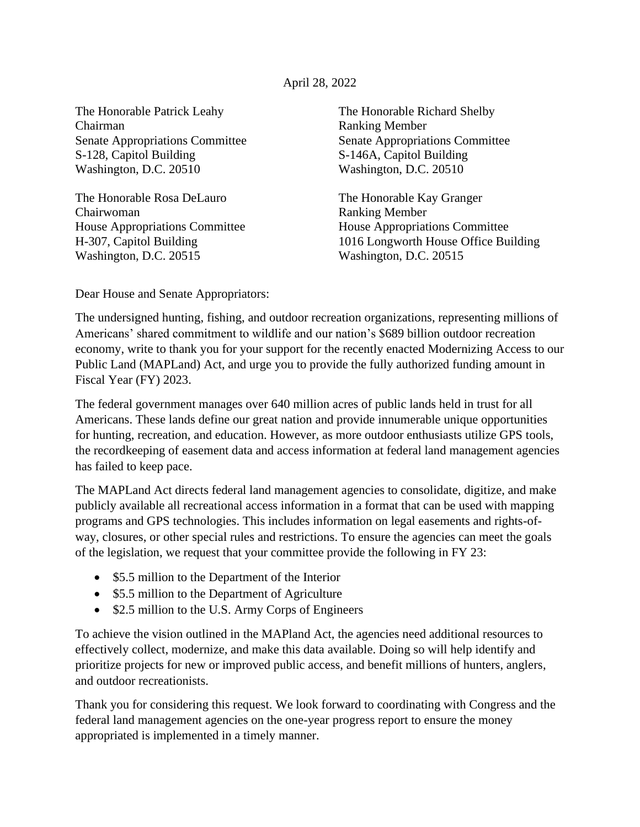## April 28, 2022

The Honorable Patrick Leahy The Honorable Richard Shelby Chairman Ranking Member S-128, Capitol Building S-146A, Capitol Building Washington, D.C. 20510 Washington, D.C. 20510

The Honorable Rosa DeLauro The Honorable Kay Granger Chairwoman Ranking Member House Appropriations Committee House Appropriations Committee Washington, D.C. 20515 Washington, D.C. 20515

Senate Appropriations Committee Senate Appropriations Committee

H-307, Capitol Building 1016 Longworth House Office Building

Dear House and Senate Appropriators:

The undersigned hunting, fishing, and outdoor recreation organizations, representing millions of Americans' shared commitment to wildlife and our nation's \$689 billion outdoor recreation economy, write to thank you for your support for the recently enacted Modernizing Access to our Public Land (MAPLand) Act, and urge you to provide the fully authorized funding amount in Fiscal Year (FY) 2023.

The federal government manages over 640 million acres of public lands held in trust for all Americans. These lands define our great nation and provide innumerable unique opportunities for hunting, recreation, and education. However, as more outdoor enthusiasts utilize GPS tools, the recordkeeping of easement data and access information at federal land management agencies has failed to keep pace.

The MAPLand Act directs federal land management agencies to consolidate, digitize, and make publicly available all recreational access information in a format that can be used with mapping programs and GPS technologies. This includes information on legal easements and rights-ofway, closures, or other special rules and restrictions. To ensure the agencies can meet the goals of the legislation, we request that your committee provide the following in FY 23:

- \$5.5 million to the Department of the Interior
- \$5.5 million to the Department of Agriculture
- \$2.5 million to the U.S. Army Corps of Engineers

To achieve the vision outlined in the MAPland Act, the agencies need additional resources to effectively collect, modernize, and make this data available. Doing so will help identify and prioritize projects for new or improved public access, and benefit millions of hunters, anglers, and outdoor recreationists.

Thank you for considering this request. We look forward to coordinating with Congress and the federal land management agencies on the one-year progress report to ensure the money appropriated is implemented in a timely manner.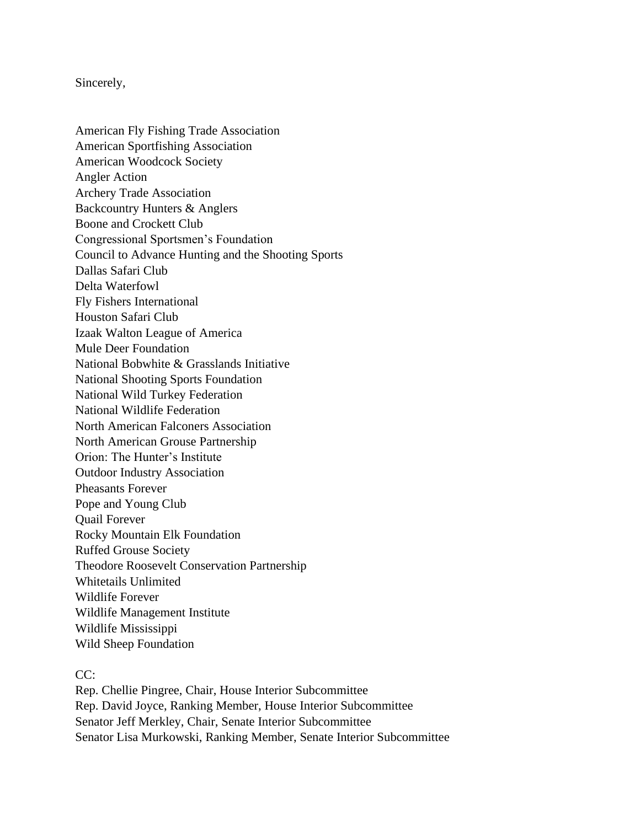Sincerely,

American Fly Fishing Trade Association American Sportfishing Association American Woodcock Society Angler Action Archery Trade Association Backcountry Hunters & Anglers Boone and Crockett Club Congressional Sportsmen's Foundation Council to Advance Hunting and the Shooting Sports Dallas Safari Club Delta Waterfowl Fly Fishers International Houston Safari Club Izaak Walton League of America Mule Deer Foundation National Bobwhite & Grasslands Initiative National Shooting Sports Foundation National Wild Turkey Federation National Wildlife Federation North American Falconers Association North American Grouse Partnership Orion: The Hunter's Institute Outdoor Industry Association Pheasants Forever Pope and Young Club Quail Forever Rocky Mountain Elk Foundation Ruffed Grouse Society Theodore Roosevelt Conservation Partnership Whitetails Unlimited Wildlife Forever Wildlife Management Institute Wildlife Mississippi Wild Sheep Foundation

CC:

Rep. Chellie Pingree, Chair, House Interior Subcommittee Rep. David Joyce, Ranking Member, House Interior Subcommittee Senator Jeff Merkley, Chair, Senate Interior Subcommittee Senator Lisa Murkowski, Ranking Member, Senate Interior Subcommittee